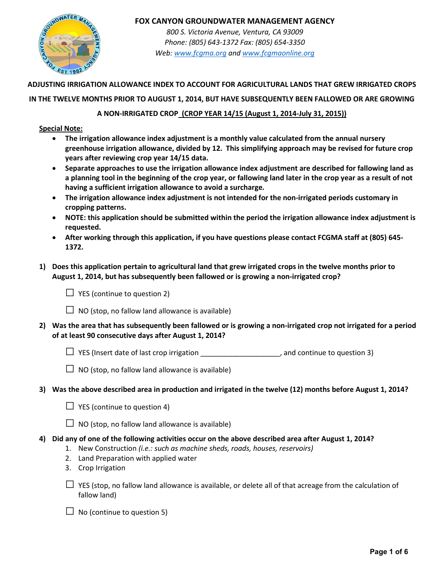

*800 S. Victoria Avenue, Ventura, CA 93009 Phone: (805) 643-1372 Fax: (805) 654-3350 Web: www.fcgma.org and www.fcgmaonline.org*

**ADJUSTING IRRIGATION ALLOWANCE INDEX TO ACCOUNT FOR AGRICULTURAL LANDS THAT GREW IRRIGATED CROPS** 

### **IN THE TWELVE MONTHS PRIOR TO AUGUST 1, 2014, BUT HAVE SUBSEQUENTLY BEEN FALLOWED OR ARE GROWING**

## **A NON-IRRIGATED CROP (CROP YEAR 14/15 (August 1, 2014-July 31, 2015))**

#### **Special Note:**

- **The irrigation allowance index adjustment is a monthly value calculated from the annual nursery greenhouse irrigation allowance, divided by 12. This simplifying approach may be revised for future crop years after reviewing crop year 14/15 data.**
- **Separate approaches to use the irrigation allowance index adjustment are described for fallowing land as a planning tool in the beginning of the crop year, or fallowing land later in the crop year as a result of not having a sufficient irrigation allowance to avoid a surcharge.**
- **The irrigation allowance index adjustment is not intended for the non-irrigated periods customary in cropping patterns.**
- **NOTE: this application should be submitted within the period the irrigation allowance index adjustment is requested.**
- **After working through this application, if you have questions please contact FCGMA staff at (805) 645- 1372.**
- **1) Does this application pertain to agricultural land that grew irrigated crops in the twelve months prior to August 1, 2014, but has subsequently been fallowed or is growing a non-irrigated crop?**

 $\Box$  YES (continue to question 2)

 $\Box$  NO (stop, no fallow land allowance is available)

- **2) Was the area that has subsequently been fallowed or is growing a non-irrigated crop not irrigated for a period of at least 90 consecutive days after August 1, 2014?**
	- $\Box$  YES (Insert date of last crop irrigation  $\_\_\_\_\_\_\_\_\_\_\_\_$ , and continue to question 3)
	- $\Box$  NO (stop, no fallow land allowance is available)
- **3) Was the above described area in production and irrigated in the twelve (12) months before August 1, 2014?**
	- $\Box$  YES (continue to question 4)
	- $\Box$  NO (stop, no fallow land allowance is available)
- **4) Did any of one of the following activities occur on the above described area after August 1, 2014?**
	- 1. New Construction *(i.e.: such as machine sheds, roads, houses, reservoirs)*
	- 2. Land Preparation with applied water
	- 3. Crop Irrigation
	- □ YES (stop, no fallow land allowance is available, or delete all of that acreage from the calculation of fallow land)
	- $\Box$  No (continue to question 5)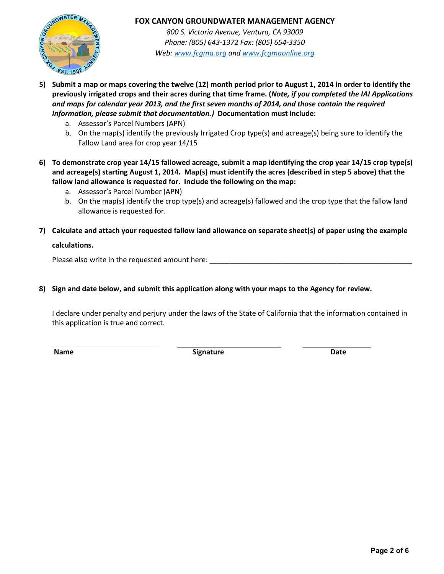

*800 S. Victoria Avenue, Ventura, CA 93009 Phone: (805) 643-1372 Fax: (805) 654-3350 Web: www.fcgma.org and www.fcgmaonline.org*

- **5) Submit a map or maps covering the twelve (12) month period prior to August 1, 2014 in order to identify the previously irrigated crops and their acres during that time frame. (***Note, if you completed the IAI Applications and maps for calendar year 2013, and the first seven months of 2014, and those contain the required information, please submit that documentation.)* **Documentation must include:**
	- a. Assessor's Parcel Numbers (APN)
	- b. On the map(s) identify the previously Irrigated Crop type(s) and acreage(s) being sure to identify the Fallow Land area for crop year 14/15
- **6) To demonstrate crop year 14/15 fallowed acreage, submit a map identifying the crop year 14/15 crop type(s) and acreage(s) starting August 1, 2014. Map(s) must identify the acres (described in step 5 above) that the fallow land allowance is requested for. Include the following on the map:**
	- a. Assessor's Parcel Number (APN)
	- b. On the map(s) identify the crop type(s) and acreage(s) fallowed and the crop type that the fallow land allowance is requested for.
- **7) Calculate and attach your requested fallow land allowance on separate sheet(s) of paper using the example calculations.**

Please also write in the requested amount here:

**8) Sign and date below, and submit this application along with your maps to the Agency for review.**

I declare under penalty and perjury under the laws of the State of California that the information contained in this application is true and correct.

**Name** Date **Signature Signature Signature Date**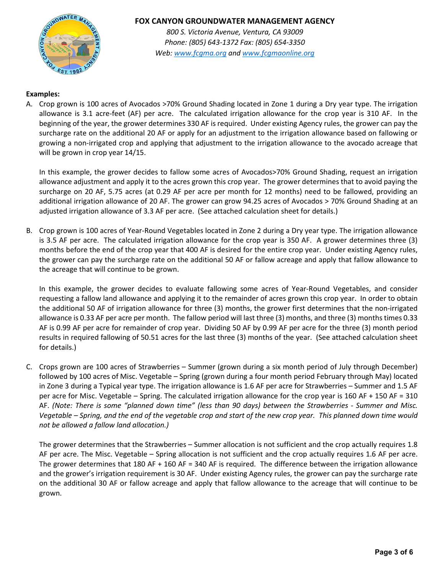

*800 S. Victoria Avenue, Ventura, CA 93009 Phone: (805) 643-1372 Fax: (805) 654-3350 Web: www.fcgma.org and www.fcgmaonline.org*

## **Examples:**

A. Crop grown is 100 acres of Avocados >70% Ground Shading located in Zone 1 during a Dry year type. The irrigation allowance is 3.1 acre-feet (AF) per acre. The calculated irrigation allowance for the crop year is 310 AF. In the beginning of the year, the grower determines 330 AF is required. Under existing Agency rules, the grower can pay the surcharge rate on the additional 20 AF or apply for an adjustment to the irrigation allowance based on fallowing or growing a non-irrigated crop and applying that adjustment to the irrigation allowance to the avocado acreage that will be grown in crop year 14/15.

In this example, the grower decides to fallow some acres of Avocados>70% Ground Shading, request an irrigation allowance adjustment and apply it to the acres grown this crop year. The grower determines that to avoid paying the surcharge on 20 AF, 5.75 acres (at 0.29 AF per acre per month for 12 months) need to be fallowed, providing an additional irrigation allowance of 20 AF. The grower can grow 94.25 acres of Avocados > 70% Ground Shading at an adjusted irrigation allowance of 3.3 AF per acre. (See attached calculation sheet for details.)

B. Crop grown is 100 acres of Year-Round Vegetables located in Zone 2 during a Dry year type. The irrigation allowance is 3.5 AF per acre. The calculated irrigation allowance for the crop year is 350 AF. A grower determines three (3) months before the end of the crop year that 400 AF is desired for the entire crop year. Under existing Agency rules, the grower can pay the surcharge rate on the additional 50 AF or fallow acreage and apply that fallow allowance to the acreage that will continue to be grown.

In this example, the grower decides to evaluate fallowing some acres of Year-Round Vegetables, and consider requesting a fallow land allowance and applying it to the remainder of acres grown this crop year. In order to obtain the additional 50 AF of irrigation allowance for three (3) months, the grower first determines that the non-irrigated allowance is 0.33 AF per acre per month. The fallow period will last three (3) months, and three (3) months times 0.33 AF is 0.99 AF per acre for remainder of crop year. Dividing 50 AF by 0.99 AF per acre for the three (3) month period results in required fallowing of 50.51 acres for the last three (3) months of the year. (See attached calculation sheet for details.)

C. Crops grown are 100 acres of Strawberries – Summer (grown during a six month period of July through December) followed by 100 acres of Misc. Vegetable – Spring (grown during a four month period February through May) located in Zone 3 during a Typical year type. The irrigation allowance is 1.6 AF per acre for Strawberries – Summer and 1.5 AF per acre for Misc. Vegetable – Spring. The calculated irrigation allowance for the crop year is 160 AF + 150 AF = 310 AF. *(Note: There is some "planned down time" (less than 90 days) between the Strawberries - Summer and Misc. Vegetable – Spring, and the end of the vegetable crop and start of the new crop year. This planned down time would not be allowed a fallow land allocation.)*

The grower determines that the Strawberries – Summer allocation is not sufficient and the crop actually requires 1.8 AF per acre. The Misc. Vegetable – Spring allocation is not sufficient and the crop actually requires 1.6 AF per acre. The grower determines that 180 AF + 160 AF = 340 AF is required. The difference between the irrigation allowance and the grower's irrigation requirement is 30 AF. Under existing Agency rules, the grower can pay the surcharge rate on the additional 30 AF or fallow acreage and apply that fallow allowance to the acreage that will continue to be grown.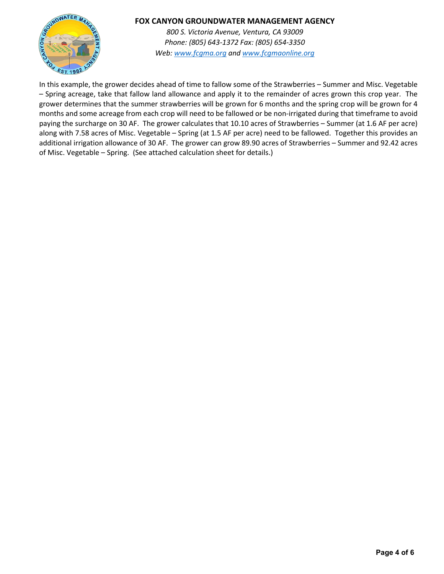

*800 S. Victoria Avenue, Ventura, CA 93009 Phone: (805) 643-1372 Fax: (805) 654-3350 Web: www.fcgma.org and www.fcgmaonline.org*

In this example, the grower decides ahead of time to fallow some of the Strawberries – Summer and Misc. Vegetable – Spring acreage, take that fallow land allowance and apply it to the remainder of acres grown this crop year. The grower determines that the summer strawberries will be grown for 6 months and the spring crop will be grown for 4 months and some acreage from each crop will need to be fallowed or be non-irrigated during that timeframe to avoid paying the surcharge on 30 AF. The grower calculates that 10.10 acres of Strawberries – Summer (at 1.6 AF per acre) along with 7.58 acres of Misc. Vegetable – Spring (at 1.5 AF per acre) need to be fallowed. Together this provides an additional irrigation allowance of 30 AF. The grower can grow 89.90 acres of Strawberries – Summer and 92.42 acres of Misc. Vegetable – Spring. (See attached calculation sheet for details.)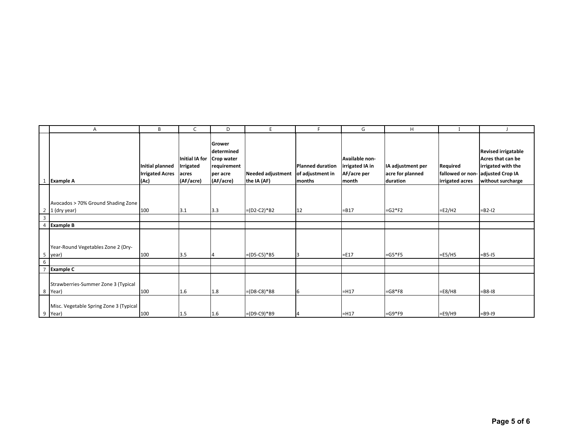|                                        | A                                                                                        | B                                                 | C                                                 | D                                                                                     | E                                       | F.                                                    | G                                                         | H                                                 |                                                                  |                                                                                            |
|----------------------------------------|------------------------------------------------------------------------------------------|---------------------------------------------------|---------------------------------------------------|---------------------------------------------------------------------------------------|-----------------------------------------|-------------------------------------------------------|-----------------------------------------------------------|---------------------------------------------------|------------------------------------------------------------------|--------------------------------------------------------------------------------------------|
|                                        | <b>Example A</b>                                                                         | Initial planned<br><b>Irrigated Acres</b><br>(Ac) | Initial IA for<br>Irrigated<br>acres<br>(AF/acre) | <b>Grower</b><br>determined<br>Crop water<br>requirement<br>per acre<br>$ $ (AF/acre) | <b>Needed adjustment</b><br>the IA (AF) | <b>Planned duration</b><br>of adjustment in<br>months | Available non-<br>irrigated IA in<br>AF/acre per<br>month | IA adjustment per<br>acre for planned<br>duration | Required<br>fallowed or non- adjusted Crop IA<br>irrigated acres | <b>Revised irrigatable</b><br>Acres that can be<br>irrigated with the<br>without surcharge |
| 2<br>$\mathbf{3}$                      | Avocados > 70% Ground Shading Zone<br>1 (dry year)                                       | 100                                               | 3.1                                               | 3.3                                                                                   | $=(D2-C2)*B2$                           | 12                                                    | $= B17$                                                   | $=G2*F2$                                          | $=E2/H2$                                                         | $= B2 - 12$                                                                                |
|                                        | <b>Example B</b>                                                                         |                                                   |                                                   |                                                                                       |                                         |                                                       |                                                           |                                                   |                                                                  |                                                                                            |
| 5<br>$6\overline{6}$<br>$\overline{ }$ | Year-Round Vegetables Zone 2 (Dry-<br>year)<br><b>Example C</b>                          | 100                                               | 3.5                                               |                                                                                       | $=(D5-C5)*B5$                           | ঽ                                                     | $=$ E17                                                   | $= G5*F5$                                         | $=E5/H5$                                                         | $=$ B5-I5                                                                                  |
|                                        | Strawberries-Summer Zone 3 (Typical<br>8 Year)<br>Misc. Vegetable Spring Zone 3 (Typical | 100                                               | 1.6                                               | 1.8                                                                                   | $=(D8-C8)*B8$                           | 6                                                     | $=$ H17                                                   | $=G8*F8$                                          | $=E8/H8$                                                         | $=$ B8-I8                                                                                  |
|                                        | 9 Year)                                                                                  | 100                                               | 1.5                                               | 1.6                                                                                   | $=(D9-C9)*B9$                           |                                                       | $=$ H17                                                   | $= G9*F9$                                         | $=E9/H9$                                                         | $=$ B9-I9                                                                                  |